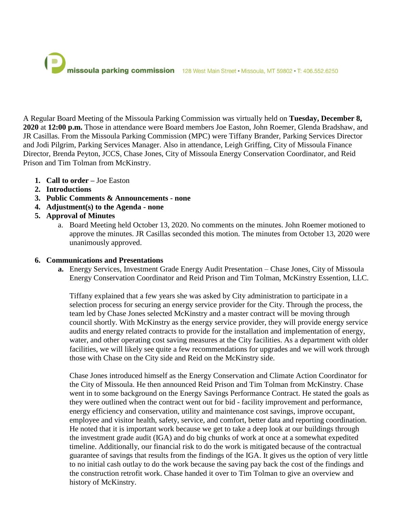

A Regular Board Meeting of the Missoula Parking Commission was virtually held on **Tuesday, December 8, 2020** at **12:00 p.m.** Those in attendance were Board members Joe Easton, John Roemer, Glenda Bradshaw, and JR Casillas. From the Missoula Parking Commission (MPC) were Tiffany Brander, Parking Services Director and Jodi Pilgrim, Parking Services Manager. Also in attendance, Leigh Griffing, City of Missoula Finance Director, Brenda Peyton, JCCS, Chase Jones, City of Missoula Energy Conservation Coordinator, and Reid Prison and Tim Tolman from McKinstry.

- **1. Call to order –** Joe Easton
- **2. Introductions**
- **3. Public Comments & Announcements - none**
- **4. Adjustment(s) to the Agenda - none**
- **5. Approval of Minutes**
	- a. Board Meeting held October 13, 2020. No comments on the minutes. John Roemer motioned to approve the minutes. JR Casillas seconded this motion. The minutes from October 13, 2020 were unanimously approved.

### **6. Communications and Presentations**

**a.** Energy Services, Investment Grade Energy Audit Presentation – Chase Jones, City of Missoula Energy Conservation Coordinator and Reid Prison and Tim Tolman, McKinstry Essention, LLC.

Tiffany explained that a few years she was asked by City administration to participate in a selection process for securing an energy service provider for the City. Through the process, the team led by Chase Jones selected McKinstry and a master contract will be moving through council shortly. With McKinstry as the energy service provider, they will provide energy service audits and energy related contracts to provide for the installation and implementation of energy, water, and other operating cost saving measures at the City facilities. As a department with older facilities, we will likely see quite a few recommendations for upgrades and we will work through those with Chase on the City side and Reid on the McKinstry side.

Chase Jones introduced himself as the Energy Conservation and Climate Action Coordinator for the City of Missoula. He then announced Reid Prison and Tim Tolman from McKinstry. Chase went in to some background on the Energy Savings Performance Contract. He stated the goals as they were outlined when the contract went out for bid - facility improvement and performance, energy efficiency and conservation, utility and maintenance cost savings, improve occupant, employee and visitor health, safety, service, and comfort, better data and reporting coordination. He noted that it is important work because we get to take a deep look at our buildings through the investment grade audit (IGA) and do big chunks of work at once at a somewhat expedited timeline. Additionally, our financial risk to do the work is mitigated because of the contractual guarantee of savings that results from the findings of the IGA. It gives us the option of very little to no initial cash outlay to do the work because the saving pay back the cost of the findings and the construction retrofit work. Chase handed it over to Tim Tolman to give an overview and history of McKinstry.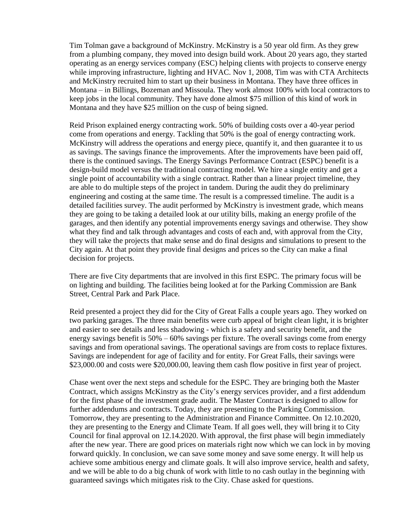Tim Tolman gave a background of McKinstry. McKinstry is a 50 year old firm. As they grew from a plumbing company, they moved into design build work. About 20 years ago, they started operating as an energy services company (ESC) helping clients with projects to conserve energy while improving infrastructure, lighting and HVAC. Nov 1, 2008, Tim was with CTA Architects and McKinstry recruited him to start up their business in Montana. They have three offices in Montana – in Billings, Bozeman and Missoula. They work almost 100% with local contractors to keep jobs in the local community. They have done almost \$75 million of this kind of work in Montana and they have \$25 million on the cusp of being signed.

Reid Prison explained energy contracting work. 50% of building costs over a 40-year period come from operations and energy. Tackling that 50% is the goal of energy contracting work. McKinstry will address the operations and energy piece, quantify it, and then guarantee it to us as savings. The savings finance the improvements. After the improvements have been paid off, there is the continued savings. The Energy Savings Performance Contract (ESPC) benefit is a design-build model versus the traditional contracting model. We hire a single entity and get a single point of accountability with a single contract. Rather than a linear project timeline, they are able to do multiple steps of the project in tandem. During the audit they do preliminary engineering and costing at the same time. The result is a compressed timeline. The audit is a detailed facilities survey. The audit performed by McKinstry is investment grade, which means they are going to be taking a detailed look at our utility bills, making an energy profile of the garages, and then identify any potential improvements energy savings and otherwise. They show what they find and talk through advantages and costs of each and, with approval from the City, they will take the projects that make sense and do final designs and simulations to present to the City again. At that point they provide final designs and prices so the City can make a final decision for projects.

There are five City departments that are involved in this first ESPC. The primary focus will be on lighting and building. The facilities being looked at for the Parking Commission are Bank Street, Central Park and Park Place.

Reid presented a project they did for the City of Great Falls a couple years ago. They worked on two parking garages. The three main benefits were curb appeal of bright clean light, it is brighter and easier to see details and less shadowing - which is a safety and security benefit, and the energy savings benefit is 50% – 60% savings per fixture. The overall savings come from energy savings and from operational savings. The operational savings are from costs to replace fixtures. Savings are independent for age of facility and for entity. For Great Falls, their savings were \$23,000.00 and costs were \$20,000.00, leaving them cash flow positive in first year of project.

Chase went over the next steps and schedule for the ESPC. They are bringing both the Master Contract, which assigns McKinstry as the City's energy services provider, and a first addendum for the first phase of the investment grade audit. The Master Contract is designed to allow for further addendums and contracts. Today, they are presenting to the Parking Commission. Tomorrow, they are presenting to the Administration and Finance Committee. On 12.10.2020, they are presenting to the Energy and Climate Team. If all goes well, they will bring it to City Council for final approval on 12.14.2020. With approval, the first phase will begin immediately after the new year. There are good prices on materials right now which we can lock in by moving forward quickly. In conclusion, we can save some money and save some energy. It will help us achieve some ambitious energy and climate goals. It will also improve service, health and safety, and we will be able to do a big chunk of work with little to no cash outlay in the beginning with guaranteed savings which mitigates risk to the City. Chase asked for questions.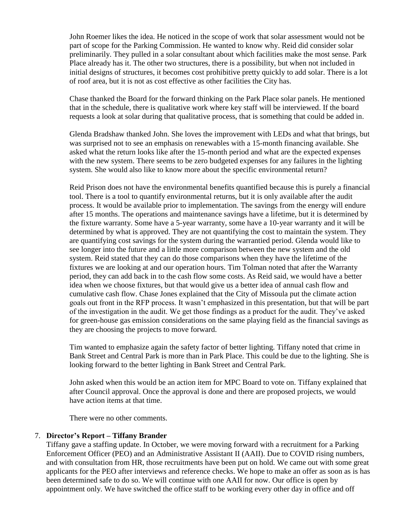John Roemer likes the idea. He noticed in the scope of work that solar assessment would not be part of scope for the Parking Commission. He wanted to know why. Reid did consider solar preliminarily. They pulled in a solar consultant about which facilities make the most sense. Park Place already has it. The other two structures, there is a possibility, but when not included in initial designs of structures, it becomes cost prohibitive pretty quickly to add solar. There is a lot of roof area, but it is not as cost effective as other facilities the City has.

Chase thanked the Board for the forward thinking on the Park Place solar panels. He mentioned that in the schedule, there is qualitative work where key staff will be interviewed. If the board requests a look at solar during that qualitative process, that is something that could be added in.

Glenda Bradshaw thanked John. She loves the improvement with LEDs and what that brings, but was surprised not to see an emphasis on renewables with a 15-month financing available. She asked what the return looks like after the 15-month period and what are the expected expenses with the new system. There seems to be zero budgeted expenses for any failures in the lighting system. She would also like to know more about the specific environmental return?

Reid Prison does not have the environmental benefits quantified because this is purely a financial tool. There is a tool to quantify environmental returns, but it is only available after the audit process. It would be available prior to implementation. The savings from the energy will endure after 15 months. The operations and maintenance savings have a lifetime, but it is determined by the fixture warranty. Some have a 5-year warranty, some have a 10-year warranty and it will be determined by what is approved. They are not quantifying the cost to maintain the system. They are quantifying cost savings for the system during the warrantied period. Glenda would like to see longer into the future and a little more comparison between the new system and the old system. Reid stated that they can do those comparisons when they have the lifetime of the fixtures we are looking at and our operation hours. Tim Tolman noted that after the Warranty period, they can add back in to the cash flow some costs. As Reid said, we would have a better idea when we choose fixtures, but that would give us a better idea of annual cash flow and cumulative cash flow. Chase Jones explained that the City of Missoula put the climate action goals out front in the RFP process. It wasn't emphasized in this presentation, but that will be part of the investigation in the audit. We get those findings as a product for the audit. They've asked for green-house gas emission considerations on the same playing field as the financial savings as they are choosing the projects to move forward.

Tim wanted to emphasize again the safety factor of better lighting. Tiffany noted that crime in Bank Street and Central Park is more than in Park Place. This could be due to the lighting. She is looking forward to the better lighting in Bank Street and Central Park.

John asked when this would be an action item for MPC Board to vote on. Tiffany explained that after Council approval. Once the approval is done and there are proposed projects, we would have action items at that time.

There were no other comments.

### 7. **Director's Report – Tiffany Brander**

Tiffany gave a staffing update. In October, we were moving forward with a recruitment for a Parking Enforcement Officer (PEO) and an Administrative Assistant II (AAII). Due to COVID rising numbers, and with consultation from HR, those recruitments have been put on hold. We came out with some great applicants for the PEO after interviews and reference checks. We hope to make an offer as soon as is has been determined safe to do so. We will continue with one AAII for now. Our office is open by appointment only. We have switched the office staff to be working every other day in office and off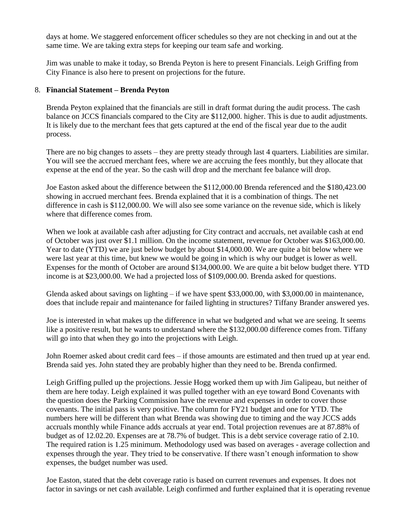days at home. We staggered enforcement officer schedules so they are not checking in and out at the same time. We are taking extra steps for keeping our team safe and working.

Jim was unable to make it today, so Brenda Peyton is here to present Financials. Leigh Griffing from City Finance is also here to present on projections for the future.

# 8. **Financial Statement – Brenda Peyton**

Brenda Peyton explained that the financials are still in draft format during the audit process. The cash balance on JCCS financials compared to the City are \$112,000. higher. This is due to audit adjustments. It is likely due to the merchant fees that gets captured at the end of the fiscal year due to the audit process.

There are no big changes to assets – they are pretty steady through last 4 quarters. Liabilities are similar. You will see the accrued merchant fees, where we are accruing the fees monthly, but they allocate that expense at the end of the year. So the cash will drop and the merchant fee balance will drop.

Joe Easton asked about the difference between the \$112,000.00 Brenda referenced and the \$180,423.00 showing in accrued merchant fees. Brenda explained that it is a combination of things. The net difference in cash is \$112,000.00. We will also see some variance on the revenue side, which is likely where that difference comes from.

When we look at available cash after adjusting for City contract and accruals, net available cash at end of October was just over \$1.1 million. On the income statement, revenue for October was \$163,000.00. Year to date (YTD) we are just below budget by about \$14,000.00. We are quite a bit below where we were last year at this time, but knew we would be going in which is why our budget is lower as well. Expenses for the month of October are around \$134,000.00. We are quite a bit below budget there. YTD income is at \$23,000.00. We had a projected loss of \$109,000.00. Brenda asked for questions.

Glenda asked about savings on lighting – if we have spent \$33,000.00, with \$3,000.00 in maintenance, does that include repair and maintenance for failed lighting in structures? Tiffany Brander answered yes.

Joe is interested in what makes up the difference in what we budgeted and what we are seeing. It seems like a positive result, but he wants to understand where the \$132,000.00 difference comes from. Tiffany will go into that when they go into the projections with Leigh.

John Roemer asked about credit card fees – if those amounts are estimated and then trued up at year end. Brenda said yes. John stated they are probably higher than they need to be. Brenda confirmed.

Leigh Griffing pulled up the projections. Jessie Hogg worked them up with Jim Galipeau, but neither of them are here today. Leigh explained it was pulled together with an eye toward Bond Covenants with the question does the Parking Commission have the revenue and expenses in order to cover those covenants. The initial pass is very positive. The column for FY21 budget and one for YTD. The numbers here will be different than what Brenda was showing due to timing and the way JCCS adds accruals monthly while Finance adds accruals at year end. Total projection revenues are at 87.88% of budget as of 12.02.20. Expenses are at 78.7% of budget. This is a debt service coverage ratio of 2.10. The required ration is 1.25 minimum. Methodology used was based on averages - average collection and expenses through the year. They tried to be conservative. If there wasn't enough information to show expenses, the budget number was used.

Joe Easton, stated that the debt coverage ratio is based on current revenues and expenses. It does not factor in savings or net cash available. Leigh confirmed and further explained that it is operating revenue